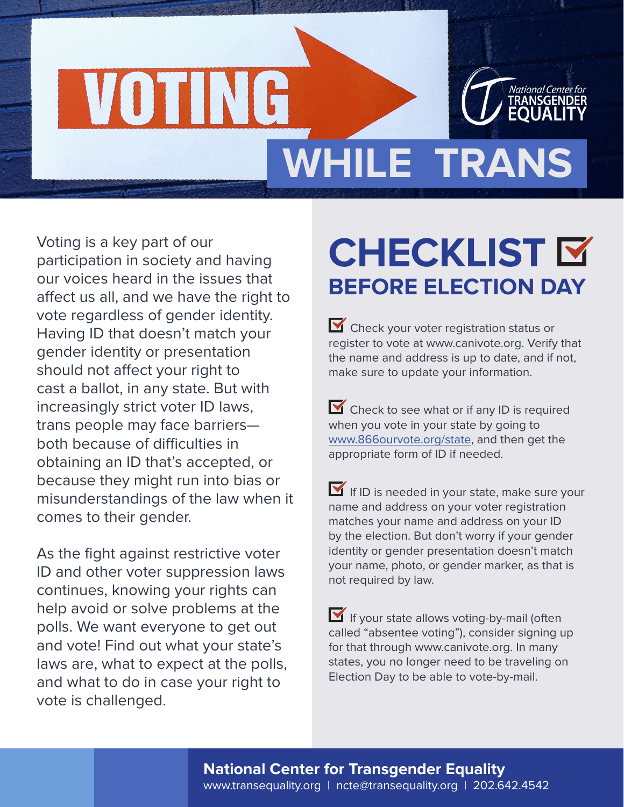

# **WHILE TRANS**

Voting is a key part of our participation in society and having our voices heard in the issues that affect us all, and we have the right to vote regardless of gender identity. Having ID that doesn't match your gender identity or presentation should not affect your right to cast a ballot, in any state. But with increasingly strict voter ID laws, trans people may face barriers both because of difficulties in obtaining an ID that's accepted, or because they might run into bias or misunderstandings of the law when it comes to their gender.

VOTIN

As the fight against restrictive voter ID and other voter suppression laws continues, knowing your rights can help avoid or solve problems at the polls. We want everyone to get out and vote! Find out what your state's laws are, what to expect at the polls, and what to do in case your right to vote is challenged.

# **CHECKLIST BEFORE ELECTION DAY**

Check your voter registration status or register to vote at www.canivote.org. Verify that the name and address is up to date, and if not, make sure to update your information.

Check to see what or if any ID is required when you vote in your state by going to [www.866ourvote.org/state](http://www.866ourvote.org/state), and then get the appropriate form of ID if needed.

If ID is needed in your state, make sure your name and address on your voter registration matches your name and address on your ID by the election. But don't worry if your gender identity or gender presentation doesn't match your name, photo, or gender marker, as that is not required by law.

If your state allows voting-by-mail (often called "absentee voting"), consider signing up for that through www.canivote.org. In many states, you no longer need to be traveling on Election Day to be able to vote-by-mail.